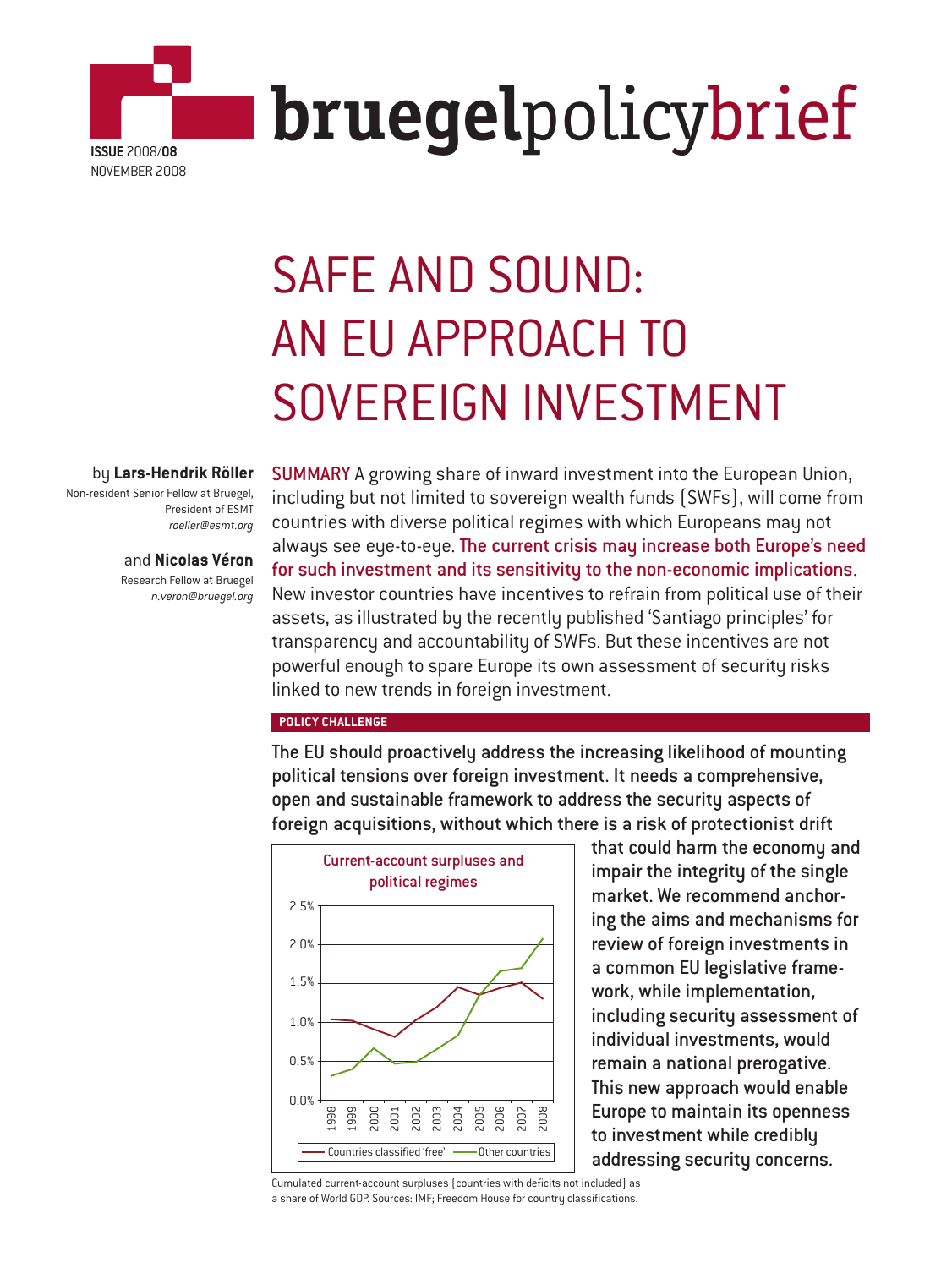

# SAFE AND SOUND: AN EU APPROACH TO SOVEREIGN INVESTMENT

## by **Lars-Hendrik Röller**

Non-resident Senior Fellow at Bruegel, President of ESMT *roeller@esmt.org*

### and **Nicolas Véron**

Research Fellow at Bruegel *n.veron@bruegel.org*

SUMMARY A growing share of inward investment into the European Union, including but not limited to sovereign wealth funds (SWFs), will come from countries with diverse political regimes with which Europeans may not always see eye-to-eye. The current crisis may increase both Europe's need for such investment and its sensitivity to the non-economic implications. New investor countries have incentives to refrain from political use of their assets, as illustrated by the recently published 'Santiago principles' for transparency and accountability of SWFs. But these incentives are not powerful enough to spare Europe its own assessment of security risks linked to new trends in foreign investment.

## **POLICY CHALLENGE**

The EU should proactively address the increasing likelihood of mounting political tensions over foreign investment. It needs a comprehensive, open and sustainable framework to address the security aspects of foreign acquisitions, without which there is a risk of protectionist drift



that could harm the economy and impair the integrity of the single market. We recommend anchoring the aims and mechanisms for review of foreign investments in a common EU legislative framework, while implementation, including security assessment of individual investments, would remain a national prerogative. This new approach would enable Europe to maintain its openness to investment while credibly addressing security concerns.

Cumulated current-account surpluses (countries with deficits not included) as a share of World GDP. Sources: IMF; Freedom House for country classifications.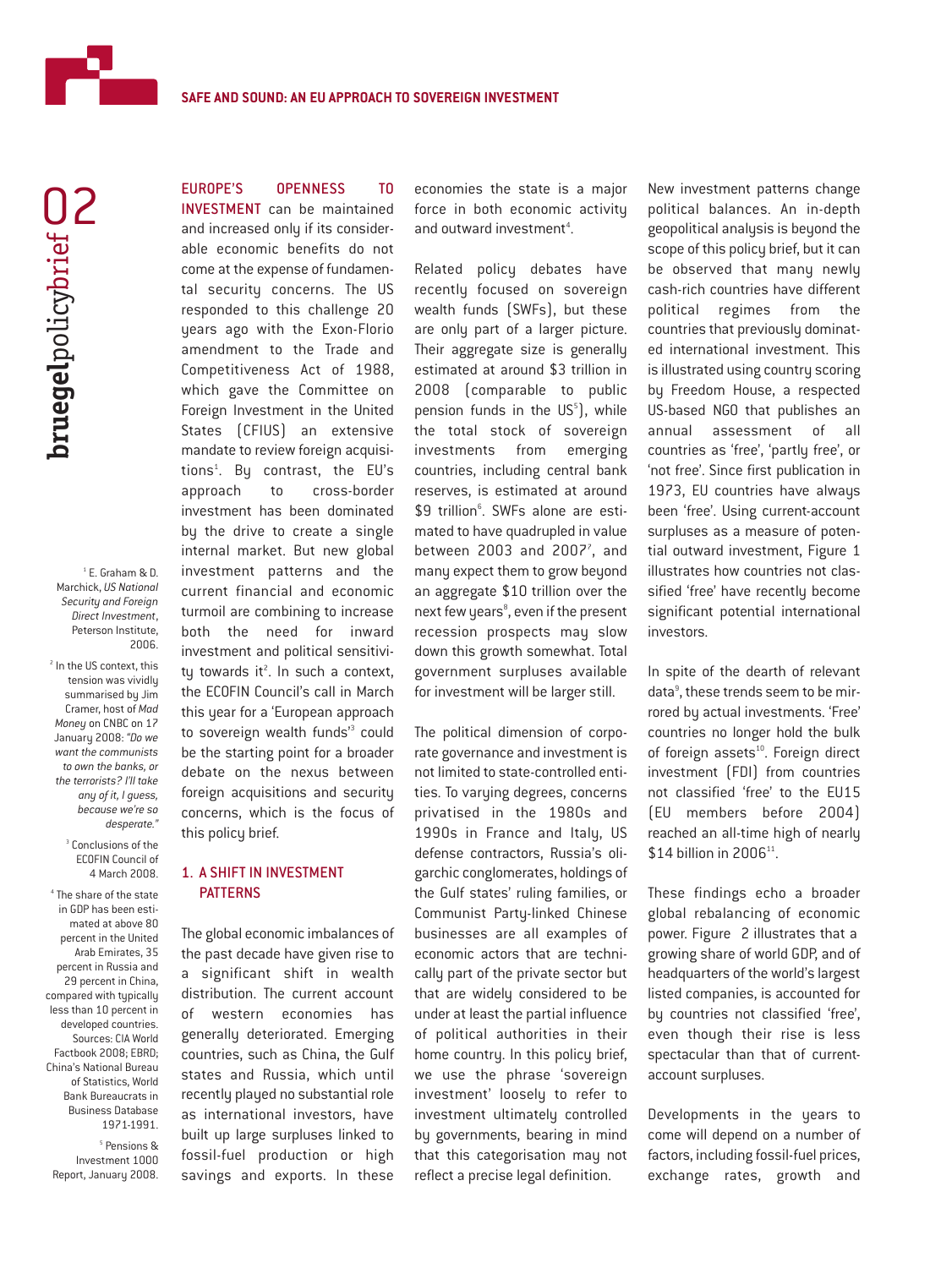

 $1$  E. Graham & D. Marchick, *US National Security and Foreign Direct Investment*, Peterson Institute, 2006.

<sup>2</sup> In the US context, this tension was vividly summarised by Jim Cramer, host of *Mad Money* on CNBC on 17 January 2008: *"Do we want the communists to own the banks, or the terrorists? I'll take any of it, I guess, because we're so desperate."*

> <sup>3</sup> Conclusions of the ECOFIN Council of 4 March 2008.

<sup>4</sup> The share of the state in GDP has been estimated at above 80 percent in the United Arab Emirates, 35 percent in Russia and 29 percent in China, compared with typically less than 10 percent in developed countries. Sources: CIA World Factbook 2008; EBRD; China's National Bureau of Statistics, World Bank Bureaucrats in Business Database 1971-1991.

<sup>5</sup> Pensions & Investment 1000 Report, January 2008.

## EUROPE'S OPENNESS TO INVESTMENT can be maintained

and increased only if its considerable economic benefits do not come at the expense of fundamental security concerns. The US responded to this challenge 20 years ago with the Exon-Florio amendment to the Trade and Competitiveness Act of 1988, which gave the Committee on Foreign Investment in the United States (CFIUS) an extensive mandate to review foreign acquisitions1 . By contrast, the EU's approach to cross-border investment has been dominated by the drive to create a single internal market. But new global investment patterns and the current financial and economic turmoil are combining to increase both the need for inward investment and political sensitivity towards it<sup>2</sup>. In such a context, the ECOFIN Council's call in March this year for a 'European approach to sovereign wealth funds<sup>3</sup> could be the starting point for a broader debate on the nexus between foreign acquisitions and security concerns, which is the focus of this policy brief.

## 1. A SHIFT IN INVESTMENT PATTERNS

The global economic imbalances of the past decade have given rise to a significant shift in wealth distribution. The current account of western economies has generally deteriorated. Emerging countries, such as China, the Gulf states and Russia, which until recently played no substantial role as international investors, have built up large surpluses linked to fossil-fuel production or high savings and exports. In these

economies the state is a major force in both economic activity and outward investment<sup>4</sup>.

Related policy debates have recently focused on sovereign wealth funds (SWFs), but these are only part of a larger picture. Their aggregate size is generally estimated at around \$3 trillion in 2008 (comparable to public pension funds in the  $US<sup>5</sup>$ ), while the total stock of sovereign investments from emerging countries, including central bank reserves, is estimated at around \$9 trillion<sup>6</sup>. SWFs alone are estimated to have quadrupled in value between  $2003$  and  $2007^7$ , and many expect them to grow beyond an aggregate \$10 trillion over the next few years<sup>8</sup>, even if the present recession prospects may slow down this growth somewhat. Total government surpluses available for investment will be larger still.

The political dimension of corporate governance and investment is not limited to state-controlled entities. To varying degrees, concerns privatised in the 1980s and 1990s in France and Italy, US defense contractors, Russia's oligarchic conglomerates, holdings of the Gulf states' ruling families, or Communist Party-linked Chinese businesses are all examples of economic actors that are technically part of the private sector but that are widely considered to be under at least the partial influence of political authorities in their home country. In this policy brief, we use the phrase 'sovereign investment' loosely to refer to investment ultimately controlled by governments, bearing in mind that this categorisation may not reflect a precise legal definition.

New investment patterns change political balances. An in-depth geopolitical analysis is beyond the scope of this policy brief, but it can be observed that many newly cash-rich countries have different political regimes from the countries that previously dominated international investment. This is illustrated using country scoring by Freedom House, a respected US-based NGO that publishes an annual assessment of all countries as 'free', 'partly free', or 'not free'. Since first publication in 1973, EU countries have always been 'free'. Using current-account surpluses as a measure of potential outward investment, Figure 1 illustrates how countries not classified 'free' have recently become significant potential international investors.

In spite of the dearth of relevant data<sup>9</sup>, these trends seem to be mirrored by actual investments. 'Free' countries no longer hold the bulk of foreign assets<sup>10</sup>. Foreign direct investment (FDI) from countries not classified 'free' to the EU15 (EU members before 2004) reached an all-time high of nearly  $$14$  billion in 2006<sup>11</sup>.

These findings echo a broader global rebalancing of economic power. Figure 2 illustrates that a growing share of world GDP, and of headquarters of the world's largest listed companies, is accounted for by countries not classified 'free', even though their rise is less spectacular than that of currentaccount surpluses.

Developments in the years to come will depend on a number of factors, including fossil-fuel prices, exchange rates, growth and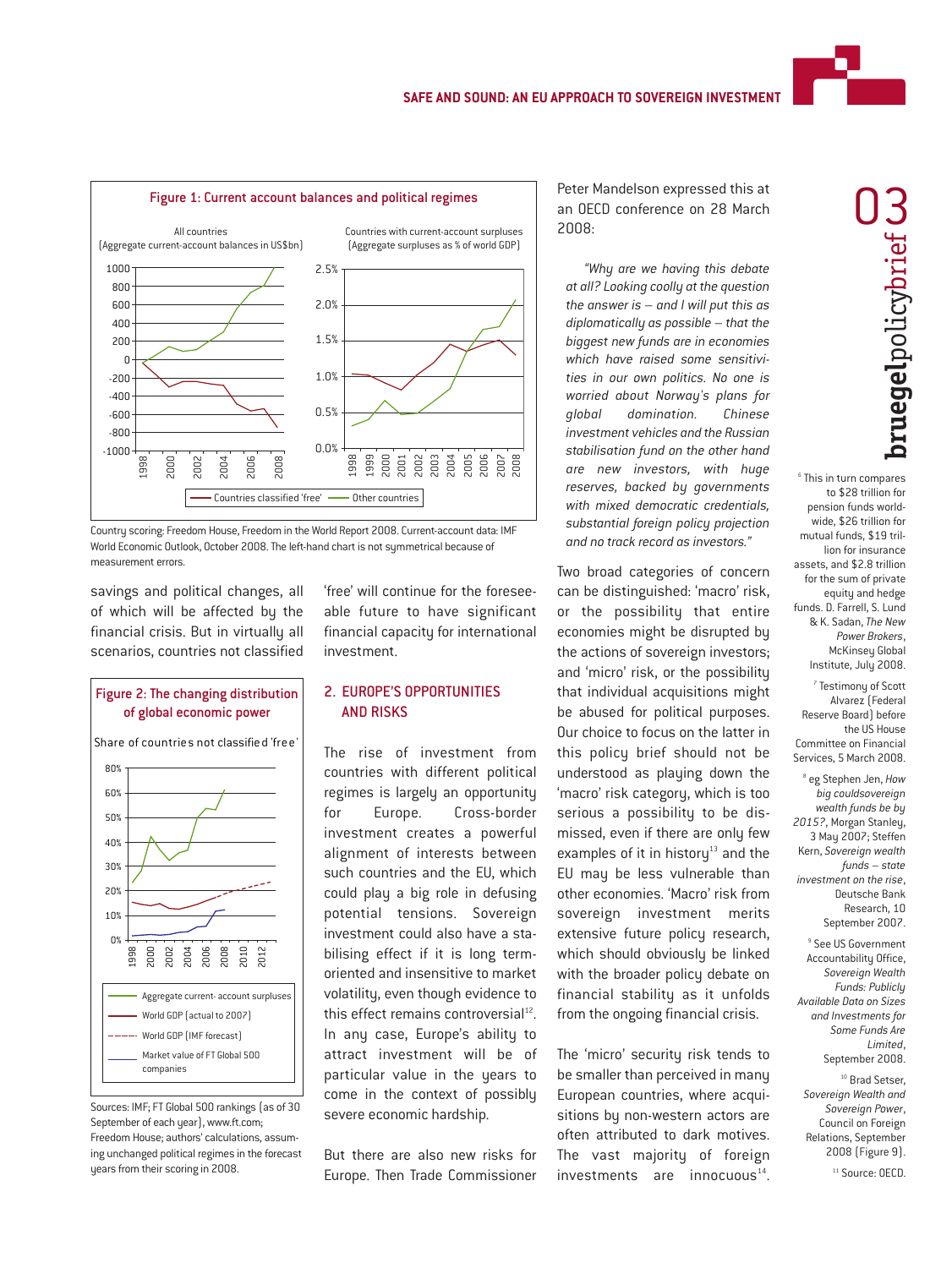



Country scoring: Freedom House, Freedom in the World Report 2008. Current-account data: IMF World Economic Outlook, October 2008. The left-hand chart is not symmetrical because of measurement errors.

savings and political changes, all of which will be affected by the financial crisis. But in virtually all scenarios, countries not classified



# Figure 2: The changing distribution of global economic power



Sources: IMF; FT Global 500 rankings (as of 30 September of each year), www.ft.com; Freedom House; authors' calculations, assuming unchanged political regimes in the forecast years from their scoring in 2008.

## 2. EUROPE'S OPPORTUNITIES AND RISKS

The rise of investment from countries with different political regimes is largely an opportunity for Europe. Cross-border investment creates a powerful alignment of interests between such countries and the EU, which could play a big role in defusing potential tensions. Sovereign investment could also have a stabilising effect if it is long termoriented and insensitive to market volatility, even though evidence to this effect remains controversial $12$ . In any case, Europe's ability to attract investment will be of particular value in the years to come in the context of possibly severe economic hardship.

But there are also new risks for Europe. Then Trade Commissioner Peter Mandelson expressed this at an OECD conference on 28 March 2008:

*"Why are we having this debate at all? Looking coolly at the question the answer is – and I will put this as diplomatically as possible – that the biggest new funds are in economies which have raised some sensitivities in our own politics. No one is worried about Norway's plans for global domination. Chinese investment vehicles and the Russian stabilisation fund on the other hand are new investors, with huge reserves, backed by governments with mixed democratic credentials, substantial foreign policy projection and no track record as investors."*

Two broad categories of concern can be distinguished: 'macro' risk, or the possibility that entire economies might be disrupted by the actions of sovereign investors; and 'micro' risk, or the possibility that individual acquisitions might be abused for political purposes. Our choice to focus on the latter in this policy brief should not be understood as playing down the 'macro' risk category, which is too serious a possibility to be dismissed, even if there are only few examples of it in history<sup>13</sup> and the EU may be less vulnerable than other economies. 'Macro' risk from sovereign investment merits extensive future policy research, which should obviously be linked with the broader policy debate on financial stability as it unfolds from the ongoing financial crisis.

The 'micro' security risk tends to be smaller than perceived in many European countries, where acquisitions by non-western actors are often attributed to dark motives. The vast majority of foreign  $investments$  are innocuous $<sup>14</sup>$ .</sup>

<sup>6</sup> This in turn compares to \$28 trillion for pension funds worldwide, \$26 trillion for mutual funds, \$19 trillion for insurance assets, and \$2.8 trillion for the sum of private equity and hedge funds. D. Farrell, S. Lund & K. Sadan, *The New Power Brokers*, McKinsey Global Institute, July 2008.

<sup>7</sup> Testimony of Scott Alvarez (Federal Reserve Board) before the US House Committee on Financial Services, 5 March 2008.

<sup>8</sup> eg Stephen Jen, *How big couldsovereign wealth funds be by 2015?*, Morgan Stanley, 3 May 2007; Steffen Kern, *Sovereign wealth funds – state investment on the rise*, Deutsche Bank Research, 10 Sentember 2007

<sup>9</sup> See US Government Accountability Office, *Sovereign Wealth Funds: Publicly Available Data on Sizes and Investments for Some Funds Are Limited*, September 2008.

<sup>10</sup> Brad Setser, *Sovereign Wealth and Sovereign Power*, Council on Foreign Relations, September 2008 (Figure 9). <sup>11</sup> Source: OECD.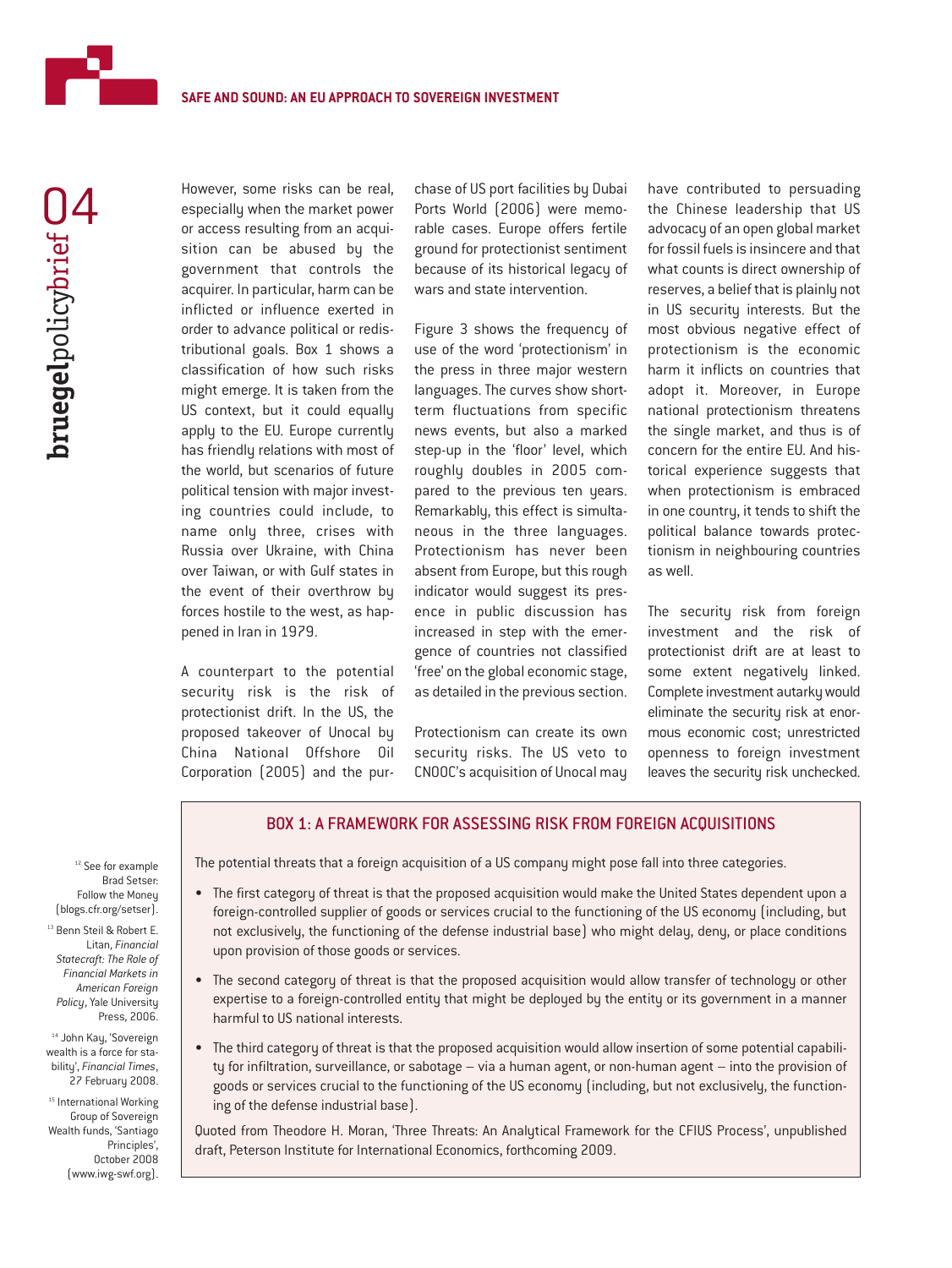

However, some risks can be real, especially when the market power or access resulting from an acquisition can be abused by the government that controls the acquirer. In particular, harm can be inflicted or influence exerted in order to advance political or redistributional goals. Box 1 shows a classification of how such risks might emerge. It is taken from the US context, but it could equally apply to the EU. Europe currently has friendly relations with most of the world, but scenarios of future political tension with major investing countries could include, to name only three, crises with Russia over Ukraine, with China over Taiwan, or with Gulf states in the event of their overthrow by forces hostile to the west, as happened in Iran in 1979.

A counterpart to the potential security risk is the risk of protectionist drift. In the US, the proposed takeover of Unocal by China National Offshore Oil Corporation (2005) and the purchase of US port facilities by Dubai Ports World (2006) were memorable cases. Europe offers fertile ground for protectionist sentiment because of its historical legacy of wars and state intervention.

Figure 3 shows the frequency of use of the word 'protectionism' in the press in three major western languages. The curves show shortterm fluctuations from specific news events, but also a marked step-up in the 'floor' level, which roughly doubles in 2005 compared to the previous ten years. Remarkably, this effect is simultaneous in the three languages. Protectionism has never been absent from Europe, but this rough indicator would suggest its presence in public discussion has increased in step with the emergence of countries not classified 'free' on the global economic stage, as detailed in the previous section.

Protectionism can create its own security risks. The US veto to CNOOC's acquisition of Unocal may have contributed to persuading the Chinese leadership that US advocacy of an open global market for fossil fuels is insincere and that what counts is direct ownership of reserves, a belief that is plainly not in US security interests. But the most obvious negative effect of protectionism is the economic harm it inflicts on countries that adopt it. Moreover, in Europe national protectionism threatens the single market, and thus is of concern for the entire EU. And historical experience suggests that when protectionism is embraced in one country, it tends to shift the political balance towards protectionism in neighbouring countries as well.

The security risk from foreign investment and the risk of protectionist drift are at least to some extent negatively linked. Complete investment autarky would eliminate the security risk at enormous economic cost; unrestricted openness to foreign investment leaves the security risk unchecked.

## BOX 1: A FRAMEWORK FOR ASSESSING RISK FROM FOREIGN ACQUISITIONS

<sup>12</sup> See for example Brad Setser: Follow the Money (blogs.cfr.org/setser).

<sup>13</sup> Benn Steil & Robert E. Litan, *Financial Statecraft: The Role of Financial Markets in American Foreign Policy*, Yale University Press, 2006.

<sup>14</sup> John Kay, 'Sovereign wealth is a force for stability', *Financial Times*, 27 February 2008.

<sup>15</sup> International Working Group of Sovereign Wealth funds, 'Santiago Principles', October 2008 (www.iwg-swf.org).

The potential threats that a foreign acquisition of a US company might pose fall into three categories.

- The first category of threat is that the proposed acquisition would make the United States dependent upon a foreign-controlled supplier of goods or services crucial to the functioning of the US economy (including, but not exclusively, the functioning of the defense industrial base) who might delay, deny, or place conditions upon provision of those goods or services.
- The second category of threat is that the proposed acquisition would allow transfer of technology or other expertise to a foreign-controlled entity that might be deployed by the entity or its government in a manner harmful to US national interests.
- The third category of threat is that the proposed acquisition would allow insertion of some potential capability for infiltration, surveillance, or sabotage – via a human agent, or non-human agent – into the provision of goods or services crucial to the functioning of the US economy (including, but not exclusively, the functioning of the defense industrial base).

Quoted from Theodore H. Moran, 'Three Threats: An Analytical Framework for the CFIUS Process', unpublished draft, Peterson Institute for International Economics, forthcoming 2009.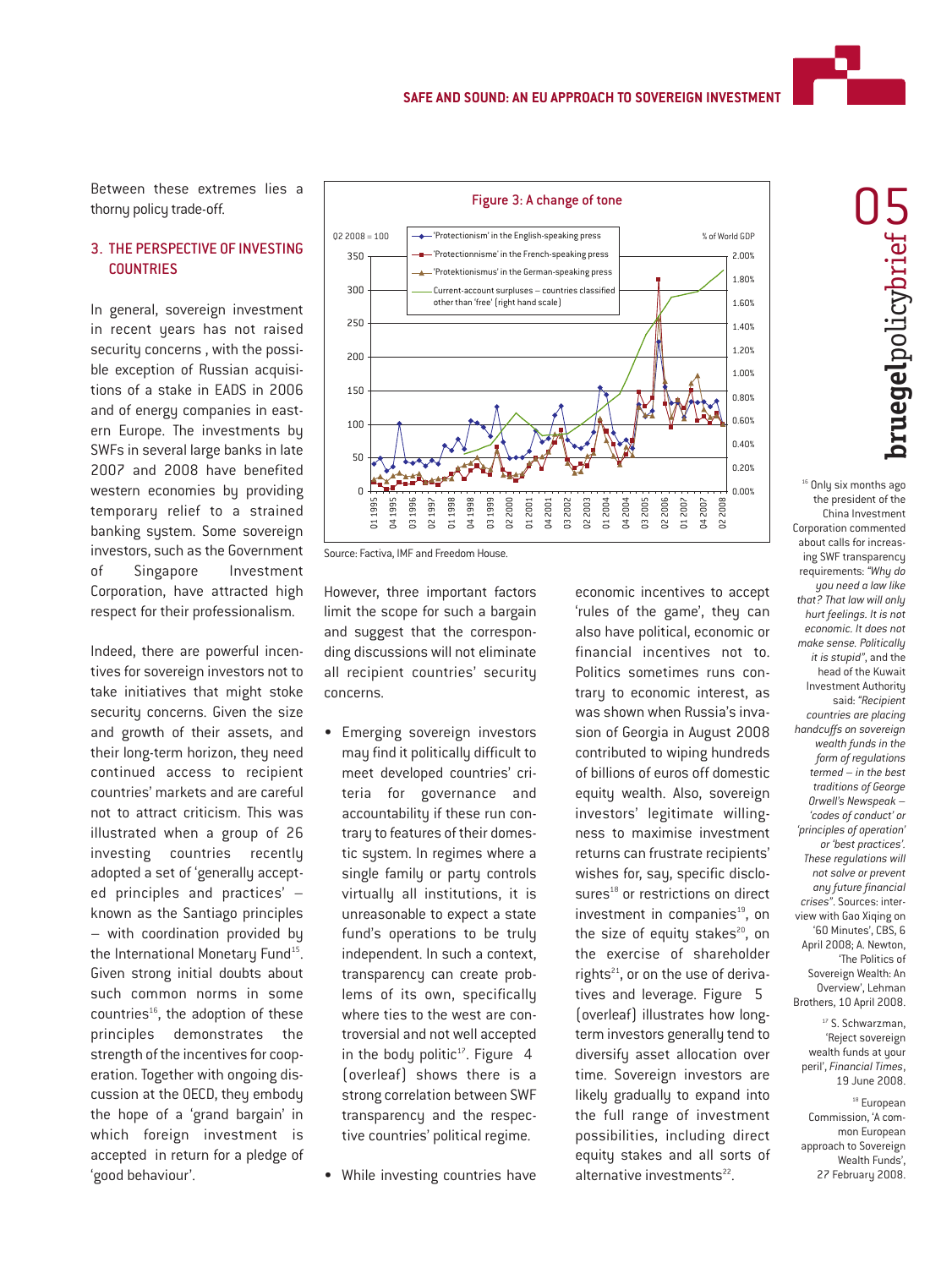Between these extremes lies a thorny policy trade-off.

## 3. THE PERSPECTIVE OF INVESTING **COUNTRIES**

In general, sovereign investment in recent years has not raised security concerns , with the possible exception of Russian acquisitions of a stake in EADS in 2006 and of energy companies in eastern Europe. The investments by SWFs in several large banks in late 2007 and 2008 have benefited western economies by providing temporary relief to a strained banking system. Some sovereign investors, such as the Government of Singapore Investment Corporation, have attracted high respect for their professionalism.

Indeed, there are powerful incentives for sovereign investors not to take initiatives that might stoke security concerns. Given the size and growth of their assets, and their long-term horizon, they need continued access to recipient countries' markets and are careful not to attract criticism. This was illustrated when a group of 26 investing countries recently adopted a set of 'generally accepted principles and practices' – known as the Santiago principles – with coordination provided by the International Monetary Fund<sup>15</sup>. Given strong initial doubts about such common norms in some countries $<sup>16</sup>$ , the adoption of these</sup> principles demonstrates the strength of the incentives for cooperation. Together with ongoing discussion at the OECD, they embody the hope of a 'grand bargain' in which foreign investment is accepted in return for a pledge of 'good behaviour'.



Source: Factiva, IMF and Freedom House.

However, three important factors limit the scope for such a bargain and suggest that the corresponding discussions will not eliminate all recipient countries' security concerns.

- Emerging sovereign investors may find it politically difficult to meet developed countries' criteria for governance and accountability if these run contrary to features of their domestic system. In regimes where a single family or party controls virtually all institutions, it is unreasonable to expect a state fund's operations to be truly independent. In such a context, transparency can create problems of its own, specifically where ties to the west are controversial and not well accepted in the body politic<sup>17</sup>. Figure  $4$ (overleaf) shows there is a strong correlation between SWF transparency and the respective countries' political regime.
- While investing countries have

economic incentives to accept 'rules of the game', they can also have political, economic or financial incentives not to. Politics sometimes runs contrary to economic interest, as was shown when Russia's invasion of Georgia in August 2008 contributed to wiping hundreds of billions of euros off domestic equity wealth. Also, sovereign investors' legitimate willingness to maximise investment returns can frustrate recipients' wishes for, say, specific disclosures<sup>18</sup> or restrictions on direct investment in companies<sup>19</sup>, on the size of equity stakes $20$ , on the exercise of shareholder rights $^{21}$ , or on the use of derivatives and leverage. Figure 5 (overleaf) illustrates how longterm investors generally tend to diversify asset allocation over time. Sovereign investors are likely gradually to expand into the full range of investment possibilities, including direct equity stakes and all sorts of alternative investments $^{22}$ .

<sup>16</sup> Only six months ago the president of the China Investment Corporation commented about calls for increasing SWF transparency requirements: *"Why do you need a law like that? That law will only hurt feelings. It is not economic. It does not make sense. Politically it is stupid"*, and the head of the Kuwait Investment Authority said: *"Recipient countries are placing handcuffs on sovereign wealth funds in the form of regulations termed – in the best traditions of George Orwell's Newspeak – 'codes of conduct' or 'principles of operation' or 'best practices'. These regulations will not solve or prevent any future financial crises"*. Sources: interview with Gao Xiqing on '60 Minutes', CBS, 6 April 2008; A. Newton, 'The Politics of Sovereign Wealth: An Overview', Lehman Brothers, 10 April 2008. <sup>17</sup> S. Schwarzman,

'Reject sovereign wealth funds at your peril', *Financial Times*, 19 June 2008.

<sup>18</sup> European Commission, 'A common European approach to Sovereign Wealth Funds', 27 February 2008.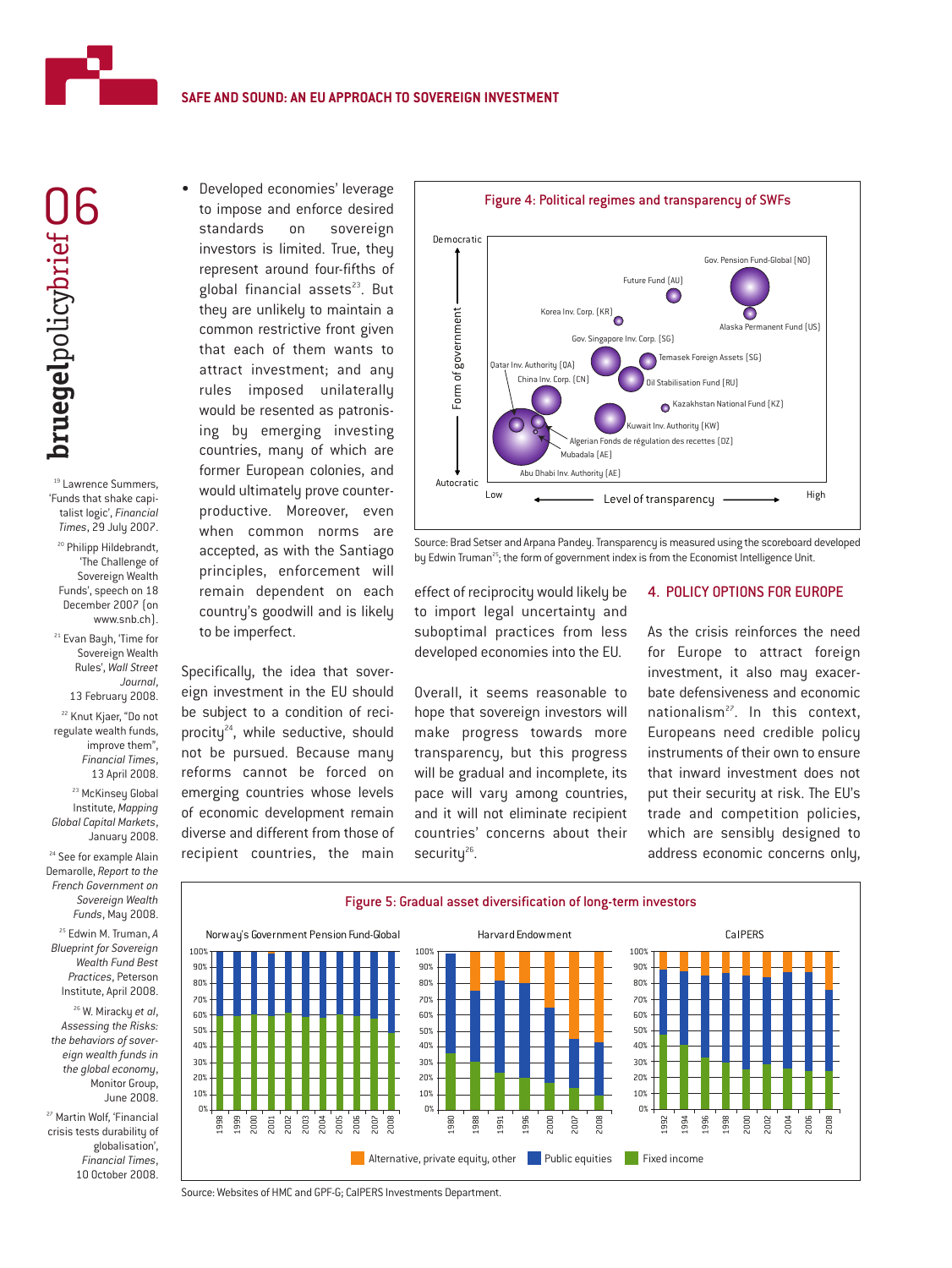

<sup>19</sup> Lawrence Summers, 'Funds that shake capitalist logic', *Financial Times*, 29 July 2007.

<sup>20</sup> Philipp Hildebrandt. 'The Challenge of Sovereign Wealth Funds', speech on 18 December 2007 (on www.snb.ch).

<sup>21</sup> Evan Bayh, 'Time for Sovereign Wealth Rules', *Wall Street Journal*, 13 February 2008.

<sup>22</sup> Knut Kjaer, "Do not regulate wealth funds, improve them", *Financial Times*,

13 April 2008. <sup>23</sup> McKinsey Global Institute, *Mapping Global Capital Markets*, January 2008.

<sup>24</sup> See for example Alain Demarolle, *Report to the French Government on Sovereign Wealth Funds*, May 2008.

<sup>25</sup> Edwin M. Truman, *A Blueprint for Sovereign Wealth Fund Best Practices*, Peterson Institute, April 2008.

<sup>26</sup> W. Miracky *et al*, *Assessing the Risks: the behaviors of sovereign wealth funds in the global economy*, Monitor Group, June 2008.

<sup>27</sup> Martin Wolf, 'Financial crisis tests durability of globalisation', *Financial Times*, 10 October 2008.

• Developed economies' leverage to impose and enforce desired standards on sovereign investors is limited. True, they represent around four-fifths of global financial assets $23$ . But they are unlikely to maintain a common restrictive front given that each of them wants to attract investment; and any rules imposed unilaterally would be resented as patronising by emerging investing countries, many of which are former European colonies, and would ultimately prove counterproductive. Moreover, even when common norms are accepted, as with the Santiago principles, enforcement will remain dependent on each country's goodwill and is likely to be imperfect.

Specifically, the idea that sovereign investment in the EU should be subject to a condition of reciprocity<sup>24</sup>, while seductive, should not be pursued. Because many reforms cannot be forced on emerging countries whose levels of economic development remain diverse and different from those of recipient countries, the main



Source: Brad Setser and Arpana Pandey. Transparency is measured using the scoreboard developed by Edwin Truman<sup>25</sup>; the form of government index is from the Economist Intelligence Unit.

effect of reciprocity would likely be to import legal uncertainty and suboptimal practices from less developed economies into the EU.

Overall, it seems reasonable to hope that sovereign investors will make progress towards more transparency, but this progress will be gradual and incomplete, its pace will vary among countries, and it will not eliminate recipient countries' concerns about their security<sup>26</sup>.

### 4. POLICY OPTIONS FOR EUROPE

As the crisis reinforces the need for Europe to attract foreign investment, it also may exacerbate defensiveness and economic nationalism<sup>27</sup>. In this context, Europeans need credible policy instruments of their own to ensure that inward investment does not put their security at risk. The EU's trade and competition policies, which are sensibly designed to address economic concerns only,



Source: Websites of HMC and GPF-G; CalPERS Investments Department.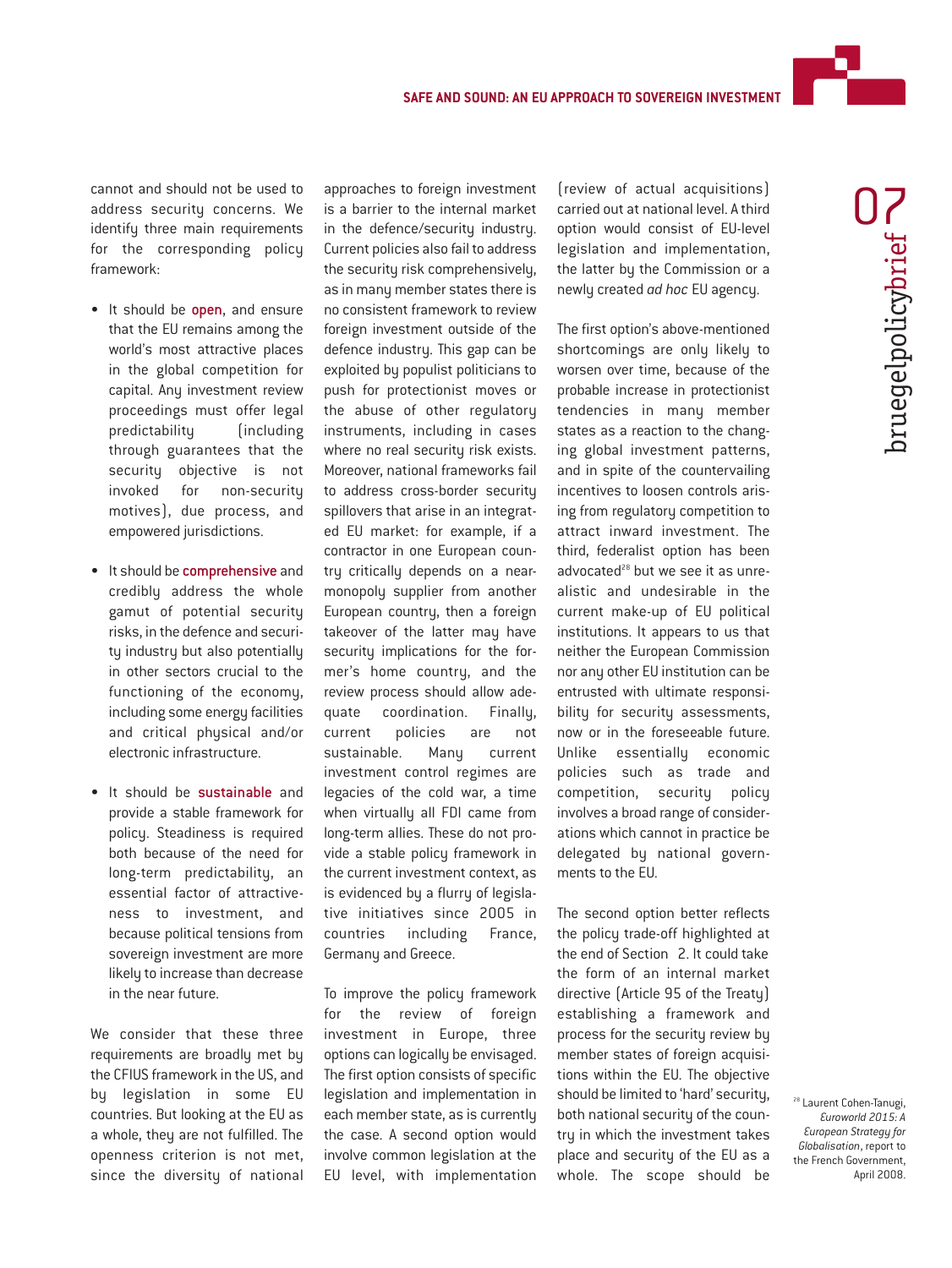

cannot and should not be used to address security concerns. We identify three main requirements for the corresponding policy framework:

- It should be open, and ensure that the EU remains among the world's most attractive places in the global competition for capital. Any investment review proceedings must offer legal predictability (including through guarantees that the security objective is not invoked for non-security motives), due process, and empowered jurisdictions.
- It should be comprehensive and credibly address the whole gamut of potential security risks, in the defence and security industry but also potentially in other sectors crucial to the functioning of the economy, including some energy facilities and critical physical and/or electronic infrastructure.
- It should be sustainable and provide a stable framework for policy. Steadiness is required both because of the need for long-term predictability, an essential factor of attractiveness to investment, and because political tensions from sovereign investment are more likely to increase than decrease in the near future.

We consider that these three requirements are broadly met by the CFIUS framework in the US, and by legislation in some EU countries. But looking at the EU as a whole, they are not fulfilled. The openness criterion is not met, since the diversity of national approaches to foreign investment is a barrier to the internal market in the defence/security industry. Current policies also fail to address the security risk comprehensively, as in many member states there is no consistent framework to review foreign investment outside of the defence industry. This gap can be exploited by populist politicians to push for protectionist moves or the abuse of other regulatory instruments, including in cases where no real security risk exists. Moreover, national frameworks fail to address cross-border security spillovers that arise in an integrated EU market: for example, if a contractor in one European country critically depends on a nearmonopoly supplier from another European country, then a foreign takeover of the latter may have security implications for the former's home country, and the review process should allow adequate coordination. Finally, current policies are not sustainable. Many current investment control regimes are legacies of the cold war, a time when virtually all FDI came from long-term allies. These do not provide a stable policy framework in the current investment context, as is evidenced by a flurry of legislative initiatives since 2005 in countries including France, Germany and Greece.

To improve the policy framework for the review of foreign investment in Europe, three options can logically be envisaged. The first option consists of specific legislation and implementation in each member state, as is currently the case. A second option would involve common legislation at the EU level, with implementation

(review of actual acquisitions) carried out at national level. A third option would consist of EU-level legislation and implementation, the latter by the Commission or a newly created *ad hoc* EU agency.

The first option's above-mentioned shortcomings are only likely to worsen over time, because of the probable increase in protectionist tendencies in many member states as a reaction to the changing global investment patterns, and in spite of the countervailing incentives to loosen controls arising from regulatory competition to attract inward investment. The third, federalist option has been advocated<sup>28</sup> but we see it as unrealistic and undesirable in the current make-up of EU political institutions. It appears to us that neither the European Commission nor any other EU institution can be entrusted with ultimate responsibility for security assessments, now or in the foreseeable future. Unlike essentially economic policies such as trade and competition, security policy involves a broad range of considerations which cannot in practice be delegated by national governments to the EU.

The second option better reflects the policy trade-off highlighted at the end of Section 2. It could take the form of an internal market directive (Article 95 of the Treaty) establishing a framework and process for the security review by member states of foreign acquisitions within the EU. The objective should be limited to 'hard' security, both national security of the country in which the investment takes place and security of the EU as a whole. The scope should be

<sup>28</sup> Laurent Cohen-Tanugi, *Euroworld 2015: A European Strategy for Globalisation*, report to the French Government, April 2008.